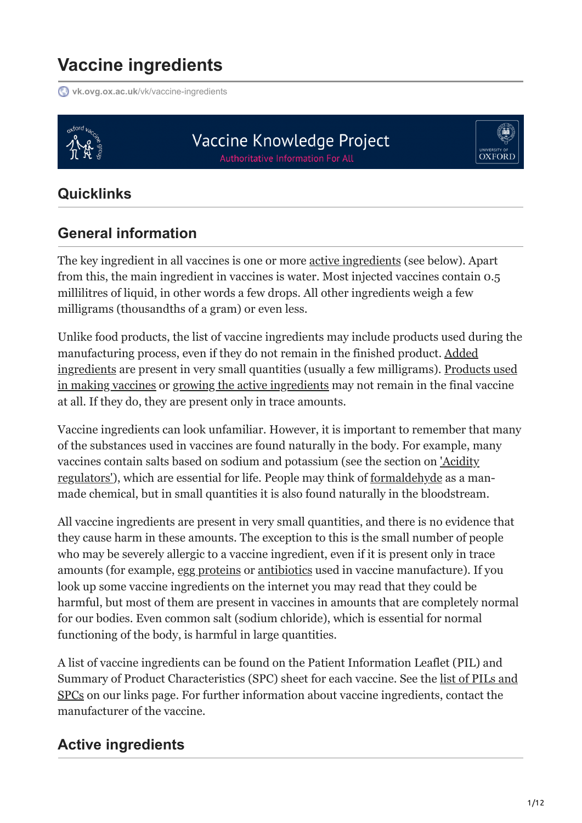# **Vaccine ingredients**

**vk.ovg.ox.ac.uk[/vk/vaccine-ingredients](https://vk.ovg.ox.ac.uk/vk/vaccine-ingredients)** 



## Vaccine Knowledge Project **Authoritative Information For All**



## **Quicklinks**

## **General information**

The key ingredient in all vaccines is one or more active ingredients (see below). Apart from this, the main ingredient in vaccines is water. Most injected vaccines contain 0.5 millilitres of liquid, in other words a few drops. All other ingredients weigh a few milligrams (thousandths of a gram) or even less.

Unlike food products, the list of vaccine ingredients may include products used during the manufacturing process, even if they do not remain in the finished product. Added ingredients are present in very small quantities (usually a few milligrams). Products used in making vaccines or growing the active ingredients may not remain in the final vaccine at all. If they do, they are present only in trace amounts.

Vaccine ingredients can look unfamiliar. However, it is important to remember that many of the substances used in vaccines are found naturally in the body. For example, many vaccines contain salts based on sodium and potassium (see the section on 'Acidity regulators'), which are essential for life. People may think of formaldehyde as a manmade chemical, but in small quantities it is also found naturally in the bloodstream.

All vaccine ingredients are present in very small quantities, and there is no evidence that they cause harm in these amounts. The exception to this is the small number of people who may be severely allergic to a vaccine ingredient, even if it is present only in trace amounts (for example, egg proteins or antibiotics used in vaccine manufacture). If you look up some vaccine ingredients on the internet you may read that they could be harmful, but most of them are present in vaccines in amounts that are completely normal for our bodies. Even common salt (sodium chloride), which is essential for normal functioning of the body, is harmful in large quantities.

A list of vaccine ingredients can be found on the Patient Information Leaflet (PIL) and [Summary of Product Characteristics \(SPC\) sheet for each vaccine. See the list of PILs and](https://vk.ovg.ox.ac.uk/vk/links#spcs) SPCs on our links page. For further information about vaccine ingredients, contact the manufacturer of the vaccine.

## **Active ingredients**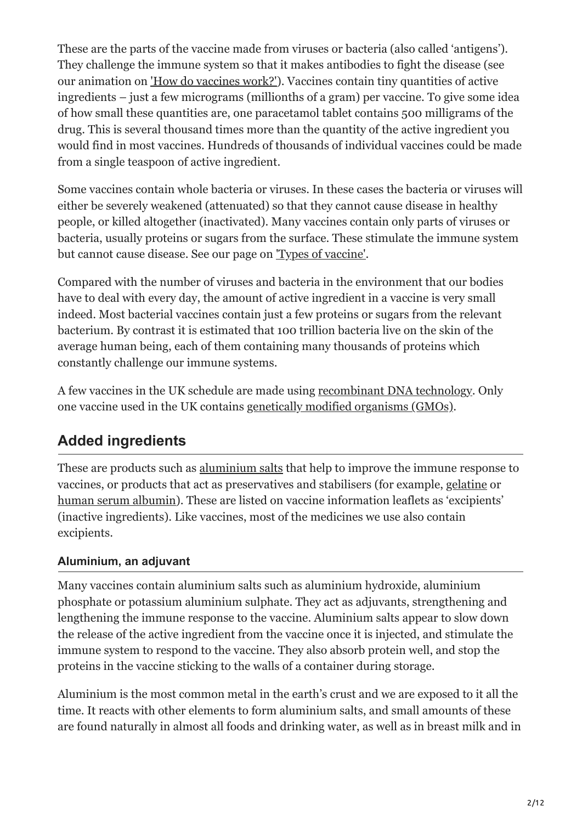These are the parts of the vaccine made from viruses or bacteria (also called 'antigens'). They challenge the immune system so that it makes antibodies to fight the disease (see our animation on ['How do vaccines work?'\)](https://vk.ovg.ox.ac.uk/vk/how-do-vaccines-work). Vaccines contain tiny quantities of active ingredients – just a few micrograms (millionths of a gram) per vaccine. To give some idea of how small these quantities are, one paracetamol tablet contains 500 milligrams of the drug. This is several thousand times more than the quantity of the active ingredient you would find in most vaccines. Hundreds of thousands of individual vaccines could be made from a single teaspoon of active ingredient.

Some vaccines contain whole bacteria or viruses. In these cases the bacteria or viruses will either be severely weakened (attenuated) so that they cannot cause disease in healthy people, or killed altogether (inactivated). Many vaccines contain only parts of viruses or bacteria, usually proteins or sugars from the surface. These stimulate the immune system but cannot cause disease. See our page on ['Types of vaccine'](https://vk.ovg.ox.ac.uk/vk/types-of-vaccine).

Compared with the number of viruses and bacteria in the environment that our bodies have to deal with every day, the amount of active ingredient in a vaccine is very small indeed. Most bacterial vaccines contain just a few proteins or sugars from the relevant bacterium. By contrast it is estimated that 100 trillion bacteria live on the skin of the average human being, each of them containing many thousands of proteins which constantly challenge our immune systems.

A few vaccines in the UK schedule are made using recombinant DNA technology. Only one vaccine used in the UK contains genetically modified organisms (GMOs).

## **Added ingredients**

These are products such as aluminium salts that help to improve the immune response to vaccines, or products that act as preservatives and stabilisers (for example, gelatine or human serum albumin). These are listed on vaccine information leaflets as 'excipients' (inactive ingredients). Like vaccines, most of the medicines we use also contain excipients.

## **Aluminium, an adjuvant**

Many vaccines contain aluminium salts such as aluminium hydroxide, aluminium phosphate or potassium aluminium sulphate. They act as adjuvants, strengthening and lengthening the immune response to the vaccine. Aluminium salts appear to slow down the release of the active ingredient from the vaccine once it is injected, and stimulate the immune system to respond to the vaccine. They also absorb protein well, and stop the proteins in the vaccine sticking to the walls of a container during storage.

Aluminium is the most common metal in the earth's crust and we are exposed to it all the time. It reacts with other elements to form aluminium salts, and small amounts of these are found naturally in almost all foods and drinking water, as well as in breast milk and in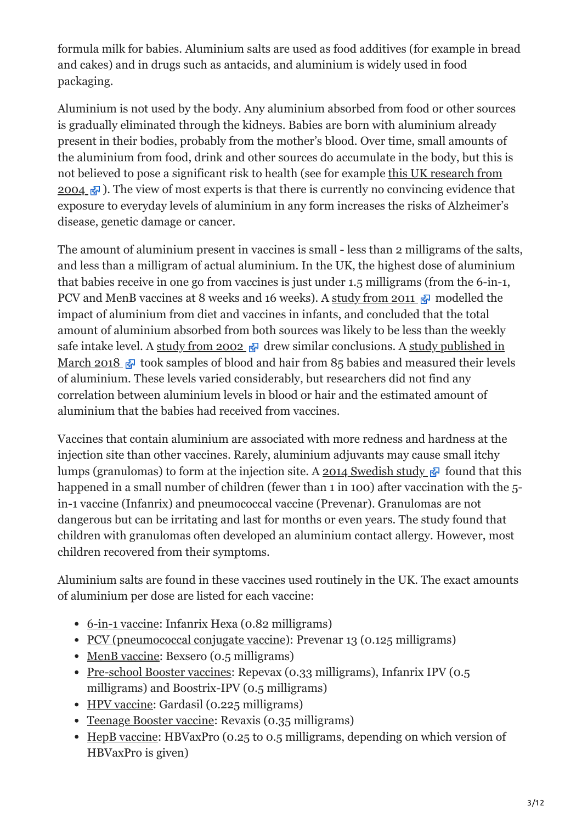formula milk for babies. Aluminium salts are used as food additives (for example in bread and cakes) and in drugs such as antacids, and aluminium is widely used in food packaging.

Aluminium is not used by the body. Any aluminium absorbed from food or other sources is gradually eliminated through the kidneys. Babies are born with aluminium already present in their bodies, probably from the mother's blood. Over time, small amounts of the aluminium from food, drink and other sources do accumulate in the body, but this is [not believed to pose a significant risk to health \(see for example this UK research from](https://www.ncbi.nlm.nih.gov/pubmed/15152306) 2004  $\mathbb{F}$ . The view of most experts is that there is currently no convincing evidence that exposure to everyday levels of aluminium in any form increases the risks of Alzheimer's disease, genetic damage or cancer.

The amount of aluminium present in vaccines is small - less than 2 milligrams of the salts, and less than a milligram of actual aluminium. In the UK, the highest dose of aluminium that babies receive in one go from vaccines is just under 1.5 milligrams (from the 6-in-1, PCV and MenB vaccines at 8 weeks and 16 weeks). A [study from 2011](https://www.ncbi.nlm.nih.gov/pubmed/22001122.1)  $\mathbb{F}$  modelled the impact of aluminium from diet and vaccines in infants, and concluded that the total amount of aluminium absorbed from both sources was likely to be less than the weekly [safe intake level. A s](https://www.ncbi.nlm.nih.gov/pubmed/28919482)[tudy from 2002](https://www.ncbi.nlm.nih.gov/pubmed/12184359.1)  $\sigma$  [drew similar conclusions. A study published in](https://www.ncbi.nlm.nih.gov/pubmed/28919482) March 2018  $\sqrt{3}$  took samples of blood and hair from 85 babies and measured their levels of aluminium. These levels varied considerably, but researchers did not find any correlation between aluminium levels in blood or hair and the estimated amount of aluminium that the babies had received from vaccines.

Vaccines that contain aluminium are associated with more redness and hardness at the injection site than other vaccines. Rarely, aluminium adjuvants may cause small itchy lumps (granulomas) to form at the injection site. A [2014 Swedish study](https://www.ncbi.nlm.nih.gov/pubmed/24752308)  $\mathbb{F}$  found that this happened in a small number of children (fewer than 1 in 100) after vaccination with the 5in-1 vaccine (Infanrix) and pneumococcal vaccine (Prevenar). Granulomas are not dangerous but can be irritating and last for months or even years. The study found that children with granulomas often developed an aluminium contact allergy. However, most children recovered from their symptoms.

Aluminium salts are found in these vaccines used routinely in the UK. The exact amounts of aluminium per dose are listed for each vaccine:

- [6-in-1 vaccine:](https://vk.ovg.ox.ac.uk/vk/6-in-1-vaccine) Infanrix Hexa (0.82 milligrams)
- [PCV \(pneumococcal conjugate vaccine\)](https://vk.ovg.ox.ac.uk/vk/pcv): Prevenar 13 (0.125 milligrams)
- [MenB vaccine](https://vk.ovg.ox.ac.uk/vk/menb-vaccine): Bexsero (0.5 milligrams)
- [Pre-school Booster vaccines](https://vk.ovg.ox.ac.uk/vk/pre-school-booster): Repevax (0.33 milligrams), Infanrix IPV (0.5) milligrams) and Boostrix-IPV (0.5 milligrams)
- [HPV vaccine](https://vk.ovg.ox.ac.uk/vk/hpv-vaccine): Gardasil (0.225 milligrams)
- [Teenage Booster vaccine](https://vk.ovg.ox.ac.uk/vk/teenage-booster-vaccine): Revaxis (0.35 milligrams)
- [HepB vaccine](https://vk.ovg.ox.ac.uk/vk/hepatitis-b-vaccine): HBVaxPro (0.25 to 0.5 milligrams, depending on which version of HBVaxPro is given)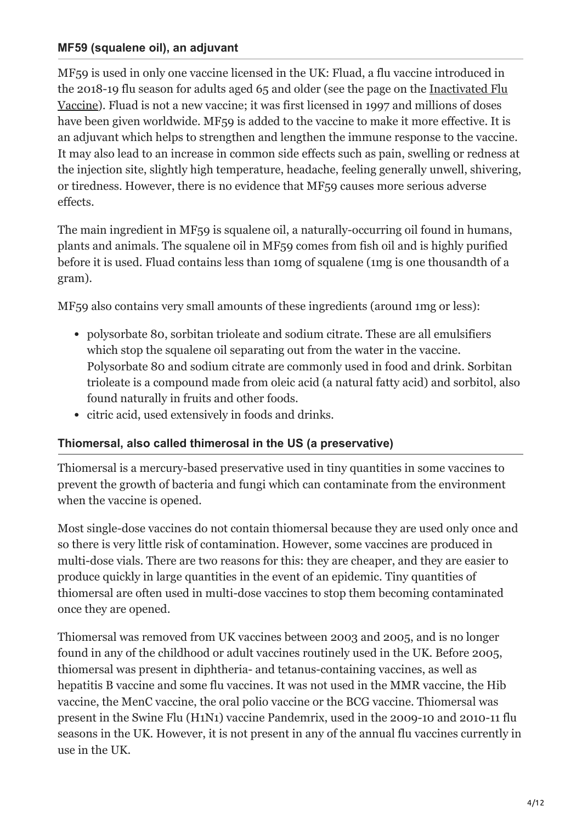#### **MF59 (squalene oil), an adjuvant**

MF59 is used in only one vaccine licensed in the UK: Fluad, a flu vaccine introduced in [the 2018-19 flu season for adults aged 65 and older \(see the page on the Inactivated Flu](https://vk.ovg.ox.ac.uk/vk/inactivated-flu-vaccine) Vaccine). Fluad is not a new vaccine; it was first licensed in 1997 and millions of doses have been given worldwide. MF59 is added to the vaccine to make it more effective. It is an adjuvant which helps to strengthen and lengthen the immune response to the vaccine. It may also lead to an increase in common side effects such as pain, swelling or redness at the injection site, slightly high temperature, headache, feeling generally unwell, shivering, or tiredness. However, there is no evidence that MF59 causes more serious adverse effects.

The main ingredient in MF59 is squalene oil, a naturally-occurring oil found in humans, plants and animals. The squalene oil in MF59 comes from fish oil and is highly purified before it is used. Fluad contains less than 10mg of squalene (1mg is one thousandth of a gram).

MF59 also contains very small amounts of these ingredients (around 1mg or less):

- polysorbate 80, sorbitan trioleate and sodium citrate. These are all emulsifiers which stop the squalene oil separating out from the water in the vaccine. Polysorbate 80 and sodium citrate are commonly used in food and drink. Sorbitan trioleate is a compound made from oleic acid (a natural fatty acid) and sorbitol, also found naturally in fruits and other foods.
- citric acid, used extensively in foods and drinks.

#### **Thiomersal, also called thimerosal in the US (a preservative)**

Thiomersal is a mercury-based preservative used in tiny quantities in some vaccines to prevent the growth of bacteria and fungi which can contaminate from the environment when the vaccine is opened.

Most single-dose vaccines do not contain thiomersal because they are used only once and so there is very little risk of contamination. However, some vaccines are produced in multi-dose vials. There are two reasons for this: they are cheaper, and they are easier to produce quickly in large quantities in the event of an epidemic. Tiny quantities of thiomersal are often used in multi-dose vaccines to stop them becoming contaminated once they are opened.

Thiomersal was removed from UK vaccines between 2003 and 2005, and is no longer found in any of the childhood or adult vaccines routinely used in the UK. Before 2005, thiomersal was present in diphtheria- and tetanus-containing vaccines, as well as hepatitis B vaccine and some flu vaccines. It was not used in the MMR vaccine, the Hib vaccine, the MenC vaccine, the oral polio vaccine or the BCG vaccine. Thiomersal was present in the Swine Flu (H1N1) vaccine Pandemrix, used in the 2009-10 and 2010-11 flu seasons in the UK. However, it is not present in any of the annual flu vaccines currently in use in the UK.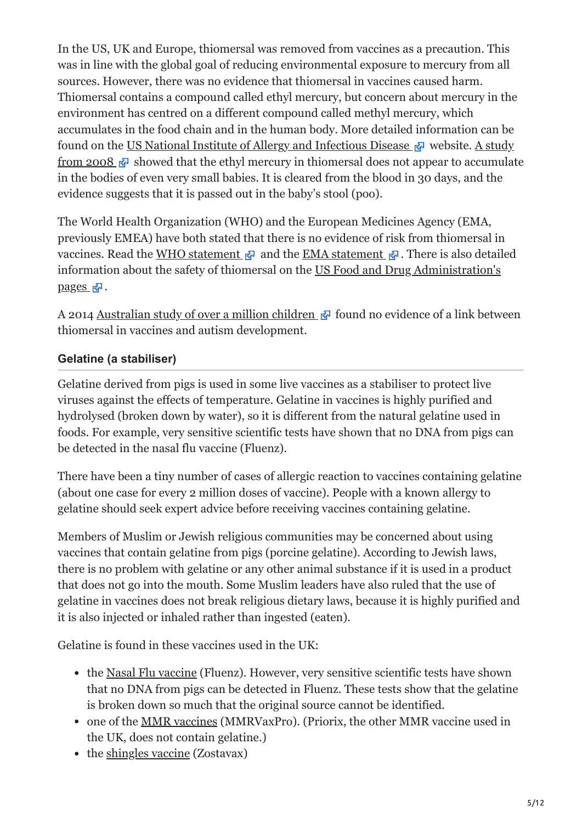In the US, UK and Europe, thiomersal was removed from vaccines as a precaution. This was in line with the global goal of reducing environmental exposure to mercury from all sources. However, there was no evidence that thiomersal in vaccines caused harm. Thiomersal contains a compound called ethyl mercury, but concern about mercury in the environment has centred on a different compound called methyl mercury, which accumulates in the food chain and in the human body. More detailed information can be found on the [US National Institute of Allergy and Infectious Disease](https://www.niaid.nih.gov/research/vaccines-thimerosal-use)  $\mathbb{R}$  website. A study from 2008  $\sigma$  showed that the ethyl mercury in thiomersal does not appear to accumulate in the bodies of even very small babies. It is cleared from the blood in 30 days, and the evidence suggests that it is passed out in the baby's stool (poo).

The World Health Organization (WHO) and the European Medicines Agency (EMA, previously EMEA) have both stated that there is no evidence of risk from thiomersal in vaccines. Read the [WHO statement](http://www.who.int/biologicals/areas/vaccines/thiomersal/en/)  $\mathbb{R}$  and the [EMA statement](http://www.ema.europa.eu/docs/en_GB/document_library/Scientific_guideline/2009/09/WC500003904.pdf)  $\mathbb{R}$ . There is also detailed [information about the safety of thiomersal on the US Food and Drug Administration's](http://www.fda.gov/BiologicsBloodVaccines/SafetyAvailability/VaccineSafety/UCM096228) pages  $\mathbb{R}$ .

A 2014 [Australian study of over a million children](https://www.ncbi.nlm.nih.gov/pubmed/24814559)  $\mathbb{F}$  found no evidence of a link between thiomersal in vaccines and autism development.

## **Gelatine (a stabiliser)**

Gelatine derived from pigs is used in some live vaccines as a stabiliser to protect live viruses against the effects of temperature. Gelatine in vaccines is highly purified and hydrolysed (broken down by water), so it is different from the natural gelatine used in foods. For example, very sensitive scientific tests have shown that no DNA from pigs can be detected in the nasal flu vaccine (Fluenz).

There have been a tiny number of cases of allergic reaction to vaccines containing gelatine (about one case for every 2 million doses of vaccine). People with a known allergy to gelatine should seek expert advice before receiving vaccines containing gelatine.

Members of Muslim or Jewish religious communities may be concerned about using vaccines that contain gelatine from pigs (porcine gelatine). According to Jewish laws, there is no problem with gelatine or any other animal substance if it is used in a product that does not go into the mouth. Some Muslim leaders have also ruled that the use of gelatine in vaccines does not break religious dietary laws, because it is highly purified and it is also injected or inhaled rather than ingested (eaten).

Gelatine is found in these vaccines used in the UK:

- the [Nasal Flu vaccine](https://vk.ovg.ox.ac.uk/vk/nasal-flu-vaccine) (Fluenz). However, very sensitive scientific tests have shown that no DNA from pigs can be detected in Fluenz. These tests show that the gelatine is broken down so much that the original source cannot be identified.
- one of the [MMR vaccines](https://vk.ovg.ox.ac.uk/vk/mmr-vaccine) (MMRVaxPro). (Priorix, the other MMR vaccine used in the UK, does not contain gelatine.)
- the [shingles vaccine](https://vk.ovg.ox.ac.uk/vk/shingles-vaccine) (Zostavax)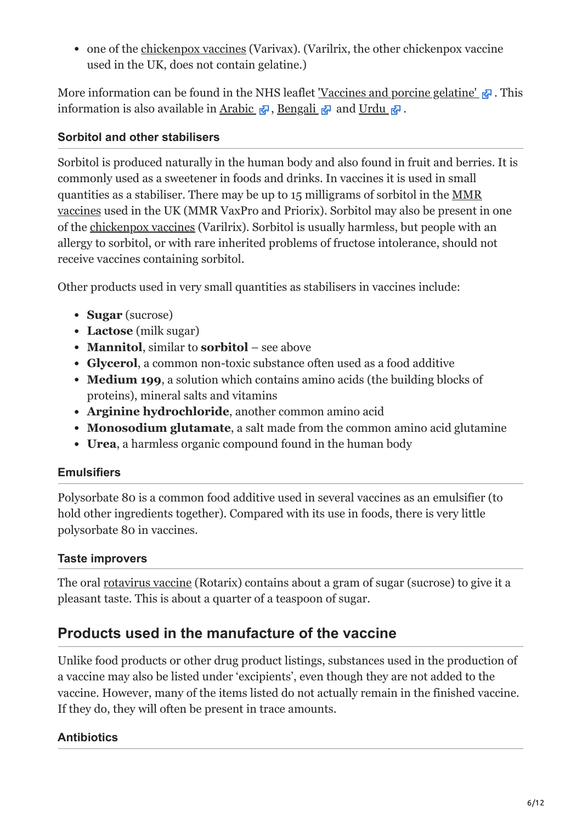one of the [chickenpox vaccines](https://vk.ovg.ox.ac.uk/vk/chickenpox-varicella-vaccine) (Varivax). (Varilrix, the other chickenpox vaccine used in the UK, does not contain gelatine.)

More information can be found in the NHS leaflet <u>'Vaccines and porcine gelatine'</u>  $\mathbb{F}$ . This information is also available in Arabic  $\mathbb{F}_q$ , [Bengali](https://assets.publishing.service.gov.uk/government/uploads/system/uploads/attachment_data/file/757212/Vaccines_porcine_gelatine_2018_A4_Bengali.pdf)  $\mathbb{F}_q$  and Urdu  $\mathbb{F}_q$ .

### **Sorbitol and other stabilisers**

Sorbitol is produced naturally in the human body and also found in fruit and berries. It is commonly used as a sweetener in foods and drinks. In vaccines it is used in small [quantities as a stabiliser. There may be up to 15 milligrams of sorbitol in the MMR](https://vk.ovg.ox.ac.uk/vk/mmr-vaccine) vaccines used in the UK (MMR VaxPro and Priorix). Sorbitol may also be present in one of the [chickenpox vaccines](https://vk.ovg.ox.ac.uk/vk/chickenpox-varicella-vaccine) (Varilrix). Sorbitol is usually harmless, but people with an allergy to sorbitol, or with rare inherited problems of fructose intolerance, should not receive vaccines containing sorbitol.

Other products used in very small quantities as stabilisers in vaccines include:

- **Sugar** (sucrose)
- **Lactose** (milk sugar)
- **Mannitol**, similar to **sorbitol** see above
- **Glycerol**, a common non-toxic substance often used as a food additive
- **Medium 199**, a solution which contains amino acids (the building blocks of proteins), mineral salts and vitamins
- **Arginine hydrochloride**, another common amino acid
- **Monosodium glutamate**, a salt made from the common amino acid glutamine
- **Urea**, a harmless organic compound found in the human body

## **Emulsifiers**

Polysorbate 80 is a common food additive used in several vaccines as an emulsifier (to hold other ingredients together). Compared with its use in foods, there is very little polysorbate 80 in vaccines.

## **Taste improvers**

The oral [rotavirus vaccine](https://vk.ovg.ox.ac.uk/vk/rotavirus-vaccine) (Rotarix) contains about a gram of sugar (sucrose) to give it a pleasant taste. This is about a quarter of a teaspoon of sugar.

## **Products used in the manufacture of the vaccine**

Unlike food products or other drug product listings, substances used in the production of a vaccine may also be listed under 'excipients', even though they are not added to the vaccine. However, many of the items listed do not actually remain in the finished vaccine. If they do, they will often be present in trace amounts.

## **Antibiotics**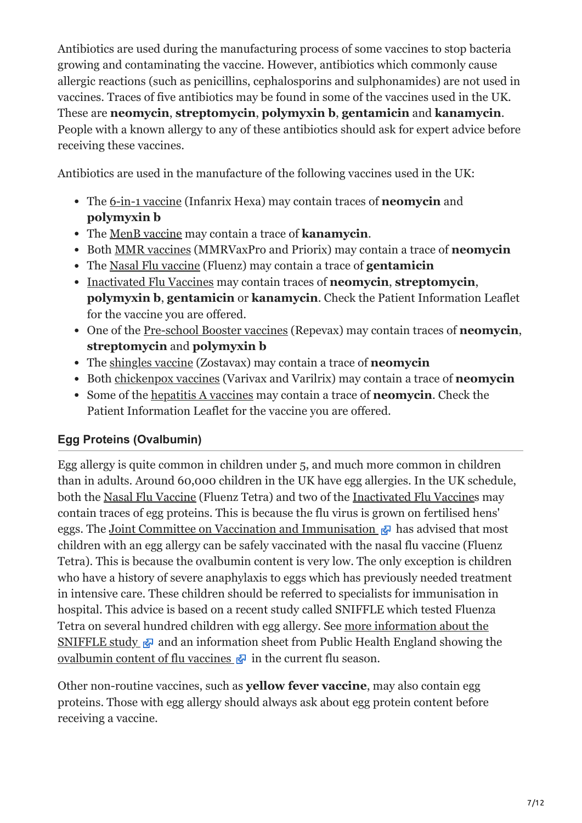Antibiotics are used during the manufacturing process of some vaccines to stop bacteria growing and contaminating the vaccine. However, antibiotics which commonly cause allergic reactions (such as penicillins, cephalosporins and sulphonamides) are not used in vaccines. Traces of five antibiotics may be found in some of the vaccines used in the UK. These are **neomycin**, **streptomycin**, **polymyxin b**, **gentamicin** and **kanamycin**. People with a known allergy to any of these antibiotics should ask for expert advice before receiving these vaccines.

Antibiotics are used in the manufacture of the following vaccines used in the UK:

- The [6-in-1 vaccine](https://vk.ovg.ox.ac.uk/vk/6-in-1-vaccine) (Infanrix Hexa) may contain traces of **neomycin** and **polymyxin b**
- The [MenB vaccine](https://vk.ovg.ox.ac.uk/vk/menb-vaccine) may contain a trace of **kanamycin**.
- Both [MMR vaccines](https://vk.ovg.ox.ac.uk/vk/mmr-vaccine) (MMRVaxPro and Priorix) may contain a trace of **neomycin**
- The [Nasal Flu vaccine](https://vk.ovg.ox.ac.uk/vk/nasal-flu-vaccine) (Fluenz) may contain a trace of **gentamicin**
- [Inactivated Flu Vaccines](https://vk.ovg.ox.ac.uk/vk/inactivated-flu-vaccine) may contain traces of **neomycin**, **streptomycin**, **polymyxin b**, **gentamicin** or **kanamycin**. Check the Patient Information Leaflet for the vaccine you are offered.
- One of the [Pre-school Booster vaccines](https://vk.ovg.ox.ac.uk/vk/pre-school-booster) (Repevax) may contain traces of **neomycin**, **streptomycin** and **polymyxin b**
- The [shingles vaccine](https://vk.ovg.ox.ac.uk/vk/shingles-vaccine) (Zostavax) may contain a trace of **neomycin**
- Both [chickenpox vaccines](https://vk.ovg.ox.ac.uk/vk/chickenpox-varicella-vaccine) (Varivax and Varilrix) may contain a trace of **neomycin**
- Some of the [hepatitis A vaccines](https://vk.ovg.ox.ac.uk/vk/hepatitis-a-vaccine) may contain a trace of **neomycin**. Check the Patient Information Leaflet for the vaccine you are offered.

## **Egg Proteins (Ovalbumin)**

Egg allergy is quite common in children under 5, and much more common in children than in adults. Around 60,000 children in the UK have egg allergies. In the UK schedule, both the [Nasal Flu Vaccine](https://vk.ovg.ox.ac.uk/vk/nasal-flu-vaccine) (Fluenz Tetra) and two of the [Inactivated Flu Vaccine](https://vk.ovg.ox.ac.uk/vk/inactivated-flu-vaccine)s may contain traces of egg proteins. This is because the flu virus is grown on fertilised hens' eggs. The [Joint Committee on Vaccination and Immunisation](https://www.gov.uk/government/groups/joint-committee-on-vaccination-and-immunisation)  $\mathbb{R}$  has advised that most children with an egg allergy can be safely vaccinated with the nasal flu vaccine (Fluenz Tetra). This is because the ovalbumin content is very low. The only exception is children who have a history of severe anaphylaxis to eggs which has previously needed treatment in intensive care. These children should be referred to specialists for immunisation in hospital. This advice is based on a recent study called SNIFFLE which tested Fluenza Tetra on several hundred children with egg allergy. See more information about the SNIFFLE study  $\mathbb{F}$  and an information sheet from Public Health England showing the [ovalbumin content of flu vaccines](https://assets.publishing.service.gov.uk/government/uploads/system/uploads/attachment_data/file/733430/Ovalbumin_influenza_vaccine_content_table_2018_2019.pdf)  $\mathbb{F}$  in the current flu season.

Other non-routine vaccines, such as **yellow fever vaccine**, may also contain egg proteins. Those with egg allergy should always ask about egg protein content before receiving a vaccine.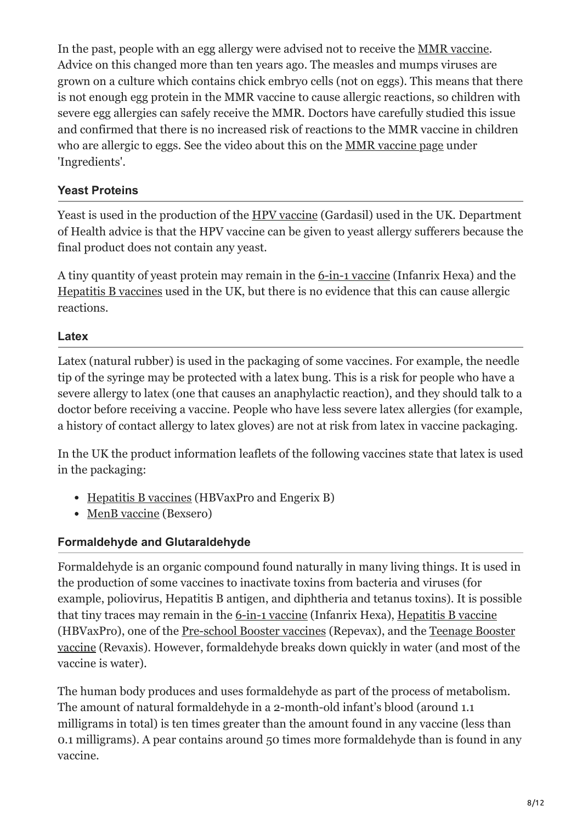In the past, people with an egg allergy were advised not to receive the [MMR vaccine](https://vk.ovg.ox.ac.uk/vk/mmr-vaccine). Advice on this changed more than ten years ago. The measles and mumps viruses are grown on a culture which contains chick embryo cells (not on eggs). This means that there is not enough egg protein in the MMR vaccine to cause allergic reactions, so children with severe egg allergies can safely receive the MMR. Doctors have carefully studied this issue and confirmed that there is no increased risk of reactions to the MMR vaccine in children who are allergic to eggs. See the video about this on the [MMR vaccine page](https://vk.ovg.ox.ac.uk/vk/mmr-vaccine) under 'Ingredients'.

### **Yeast Proteins**

Yeast is used in the production of the [HPV vaccine](https://vk.ovg.ox.ac.uk/vk/hpv-vaccine) (Gardasil) used in the UK. Department of Health advice is that the HPV vaccine can be given to yeast allergy sufferers because the final product does not contain any yeast.

A tiny quantity of yeast protein may remain in the [6-in-1 vaccine](https://vk.ovg.ox.ac.uk/vk/6-in-1-vaccine) (Infanrix Hexa) and the [Hepatitis B vaccines](https://vk.ovg.ox.ac.uk/vk/hepatitis-b-vaccine) used in the UK, but there is no evidence that this can cause allergic reactions.

#### **Latex**

Latex (natural rubber) is used in the packaging of some vaccines. For example, the needle tip of the syringe may be protected with a latex bung. This is a risk for people who have a severe allergy to latex (one that causes an anaphylactic reaction), and they should talk to a doctor before receiving a vaccine. People who have less severe latex allergies (for example, a history of contact allergy to latex gloves) are not at risk from latex in vaccine packaging.

In the UK the product information leaflets of the following vaccines state that latex is used in the packaging:

- [Hepatitis B vaccines](https://vk.ovg.ox.ac.uk/vk/hepatitis-b-vaccine) (HBVaxPro and Engerix B)
- [MenB vaccine](https://vk.ovg.ox.ac.uk/vk/menb-vaccine) (Bexsero)

#### **Formaldehyde and Glutaraldehyde**

Formaldehyde is an organic compound found naturally in many living things. It is used in the production of some vaccines to inactivate toxins from bacteria and viruses (for example, poliovirus, Hepatitis B antigen, and diphtheria and tetanus toxins). It is possible that tiny traces may remain in the [6-in-1 vaccine](https://vk.ovg.ox.ac.uk/vk/6-in-1-vaccine) (Infanrix Hexa), [Hepatitis B vaccine](https://vk.ovg.ox.ac.uk/vk/hepatitis-b-vaccine) [\(HBVaxPro\), one of the P](https://vk.ovg.ox.ac.uk/vk/teenage-booster-vaccine)[re-school Booster vaccines](https://vk.ovg.ox.ac.uk/vk/pre-school-booster) [\(Repevax\), and the Teenage Booster](https://vk.ovg.ox.ac.uk/vk/teenage-booster-vaccine) vaccine (Revaxis). However, formaldehyde breaks down quickly in water (and most of the vaccine is water).

The human body produces and uses formaldehyde as part of the process of metabolism. The amount of natural formaldehyde in a 2-month-old infant's blood (around 1.1 milligrams in total) is ten times greater than the amount found in any vaccine (less than 0.1 milligrams). A pear contains around 50 times more formaldehyde than is found in any vaccine.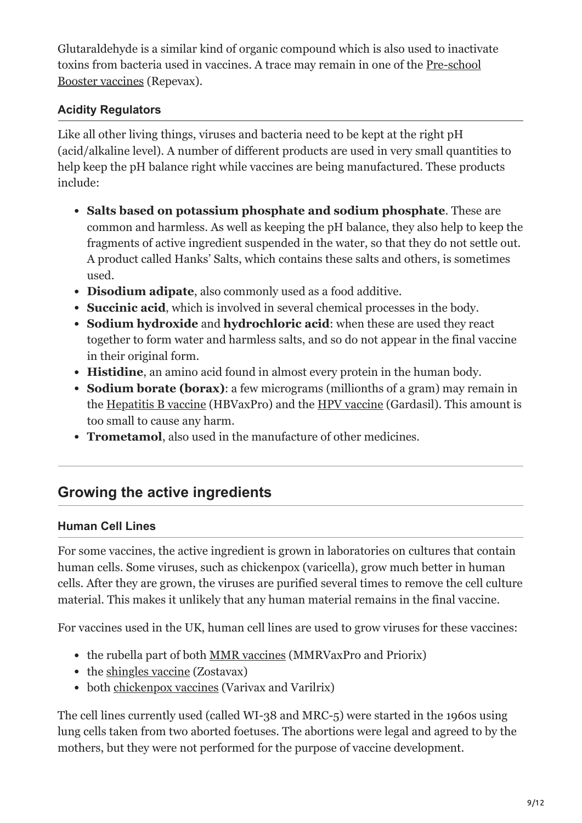Glutaraldehyde is a similar kind of organic compound which is also used to inactivate [toxins from bacteria used in vaccines. A trace may remain in one of the Pre-school](https://vk.ovg.ox.ac.uk/vk/pre-school-booster) Booster vaccines (Repevax).

### **Acidity Regulators**

Like all other living things, viruses and bacteria need to be kept at the right pH (acid/alkaline level). A number of different products are used in very small quantities to help keep the pH balance right while vaccines are being manufactured. These products include:

- **Salts based on potassium phosphate and sodium phosphate**. These are common and harmless. As well as keeping the pH balance, they also help to keep the fragments of active ingredient suspended in the water, so that they do not settle out. A product called Hanks' Salts, which contains these salts and others, is sometimes used.
- **Disodium adipate**, also commonly used as a food additive.
- **Succinic acid**, which is involved in several chemical processes in the body.
- **Sodium hydroxide** and **hydrochloric acid**: when these are used they react together to form water and harmless salts, and so do not appear in the final vaccine in their original form.
- **Histidine**, an amino acid found in almost every protein in the human body.
- **Sodium borate (borax)**: a few micrograms (millionths of a gram) may remain in the [Hepatitis B vaccine](https://vk.ovg.ox.ac.uk/vk/hepatitis-b-vaccine) (HBVaxPro) and the [HPV vaccine](https://vk.ovg.ox.ac.uk/vk/hpv-vaccine) (Gardasil). This amount is too small to cause any harm.
- **Trometamol**, also used in the manufacture of other medicines.

## **Growing the active ingredients**

#### **Human Cell Lines**

For some vaccines, the active ingredient is grown in laboratories on cultures that contain human cells. Some viruses, such as chickenpox (varicella), grow much better in human cells. After they are grown, the viruses are purified several times to remove the cell culture material. This makes it unlikely that any human material remains in the final vaccine.

For vaccines used in the UK, human cell lines are used to grow viruses for these vaccines:

- the rubella part of both [MMR vaccines](https://vk.ovg.ox.ac.uk/vk/mmr-vaccine) (MMRVaxPro and Priorix)
- the [shingles vaccine](https://vk.ovg.ox.ac.uk/vk/shingles-vaccine) (Zostavax)
- both [chickenpox vaccines](https://vk.ovg.ox.ac.uk/vk/chickenpox-varicella-vaccine) (Varivax and Varilrix)

The cell lines currently used (called WI-38 and MRC-5) were started in the 1960s using lung cells taken from two aborted foetuses. The abortions were legal and agreed to by the mothers, but they were not performed for the purpose of vaccine development.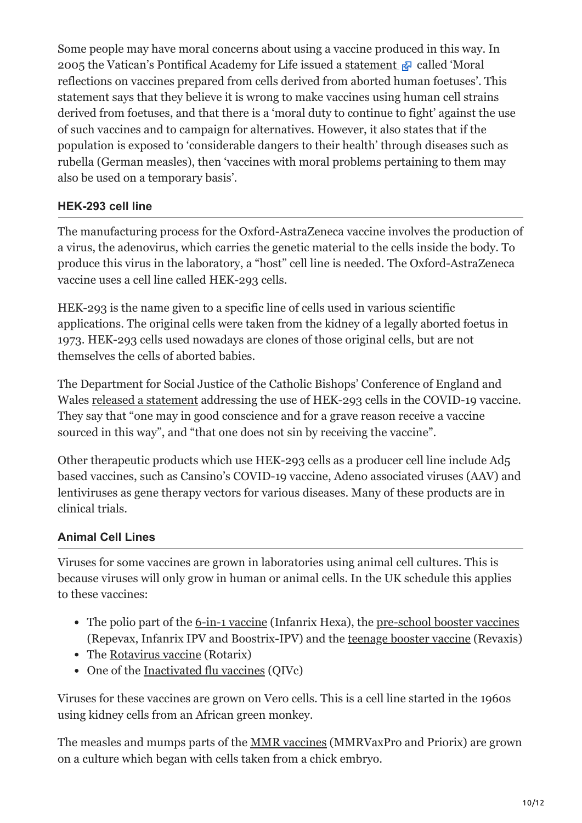Some people may have moral concerns about using a vaccine produced in this way. In 2005 the Vatican's Pontifical Academy for Life issued a [statement](http://www.immunize.org/concerns/vaticandocument.htm)  $\mathbb{F}_{q}$  called 'Moral reflections on vaccines prepared from cells derived from aborted human foetuses'. This statement says that they believe it is wrong to make vaccines using human cell strains derived from foetuses, and that there is a 'moral duty to continue to fight' against the use of such vaccines and to campaign for alternatives. However, it also states that if the population is exposed to 'considerable dangers to their health' through diseases such as rubella (German measles), then 'vaccines with moral problems pertaining to them may also be used on a temporary basis'.

### **HEK-293 cell line**

The manufacturing process for the Oxford-AstraZeneca vaccine involves the production of a virus, the adenovirus, which carries the genetic material to the cells inside the body. To produce this virus in the laboratory, a "host" cell line is needed. The Oxford-AstraZeneca vaccine uses a cell line called HEK-293 cells.

HEK-293 is the name given to a specific line of cells used in various scientific applications. The original cells were taken from the kidney of a legally aborted foetus in 1973. HEK-293 cells used nowadays are clones of those original cells, but are not themselves the cells of aborted babies.

The Department for Social Justice of the Catholic Bishops' Conference of England and Wales [released a statement](https://www.cbcew.org.uk/bishops-issue-updated-statement-on-covid-19-and-vaccination/) addressing the use of HEK-293 cells in the COVID-19 vaccine. They say that "one may in good conscience and for a grave reason receive a vaccine sourced in this way", and "that one does not sin by receiving the vaccine".

Other therapeutic products which use HEK-293 cells as a producer cell line include Ad5 based vaccines, such as Cansino's COVID-19 vaccine, Adeno associated viruses (AAV) and lentiviruses as gene therapy vectors for various diseases. Many of these products are in clinical trials.

## **Animal Cell Lines**

Viruses for some vaccines are grown in laboratories using animal cell cultures. This is because viruses will only grow in human or animal cells. In the UK schedule this applies to these vaccines:

- The polio part of the <u>6-in-1 vaccine</u> (Infanrix Hexa), the <u>[pre-school booster vaccines](https://vk.ovg.ox.ac.uk/vk/pre-school-booster)</u> (Repevax, Infanrix IPV and Boostrix-IPV) and the [teenage booster vaccine](https://vk.ovg.ox.ac.uk/vk/teenage-booster-vaccine) (Revaxis)
- The [Rotavirus vaccine](https://vk.ovg.ox.ac.uk/vk/rotavirus-vaccine) (Rotarix)
- One of the [Inactivated flu vaccines](http://vk.ovg.ox.ac.uk/vk/inactivated-flu-vaccine) (QIVc)

Viruses for these vaccines are grown on Vero cells. This is a cell line started in the 1960s using kidney cells from an African green monkey.

The measles and mumps parts of the [MMR vaccines](https://vk.ovg.ox.ac.uk/vk/mmr-vaccine) (MMRVaxPro and Priorix) are grown on a culture which began with cells taken from a chick embryo.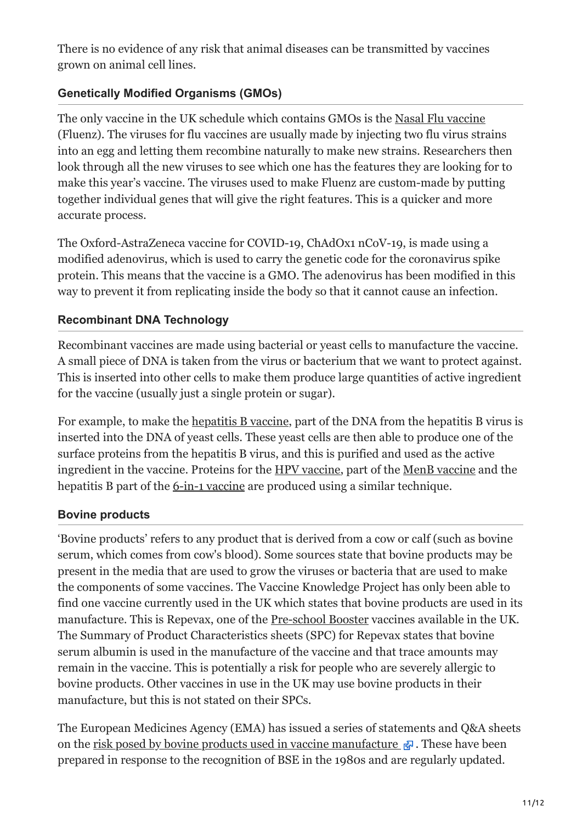There is no evidence of any risk that animal diseases can be transmitted by vaccines grown on animal cell lines.

### **Genetically Modified Organisms (GMOs)**

The only vaccine in the UK schedule which contains GMOs is the [Nasal Flu vaccine](https://vk.ovg.ox.ac.uk/vk/nasal-flu-vaccine) (Fluenz). The viruses for flu vaccines are usually made by injecting two flu virus strains into an egg and letting them recombine naturally to make new strains. Researchers then look through all the new viruses to see which one has the features they are looking for to make this year's vaccine. The viruses used to make Fluenz are custom-made by putting together individual genes that will give the right features. This is a quicker and more accurate process.

The Oxford-AstraZeneca vaccine for COVID-19, ChAdOx1 nCoV-19, is made using a modified adenovirus, which is used to carry the genetic code for the coronavirus spike protein. This means that the vaccine is a GMO. The adenovirus has been modified in this way to prevent it from replicating inside the body so that it cannot cause an infection.

### **Recombinant DNA Technology**

Recombinant vaccines are made using bacterial or yeast cells to manufacture the vaccine. A small piece of DNA is taken from the virus or bacterium that we want to protect against. This is inserted into other cells to make them produce large quantities of active ingredient for the vaccine (usually just a single protein or sugar).

For example, to make the [hepatitis B vaccine,](https://vk.ovg.ox.ac.uk/vk/hepatitis-b-vaccine) part of the DNA from the hepatitis B virus is inserted into the DNA of yeast cells. These yeast cells are then able to produce one of the surface proteins from the hepatitis B virus, and this is purified and used as the active ingredient in the vaccine. Proteins for the [HPV vaccine](https://vk.ovg.ox.ac.uk/vk/hpv-vaccine), part of the [MenB vaccine](https://vk.ovg.ox.ac.uk/vk/menb-vaccine) and the hepatitis B part of the [6-in-1 vaccine](https://vk.ovg.ox.ac.uk/vk/6-in-1-vaccine) are produced using a similar technique.

#### **Bovine products**

'Bovine products' refers to any product that is derived from a cow or calf (such as bovine serum, which comes from cow's blood). Some sources state that bovine products may be present in the media that are used to grow the viruses or bacteria that are used to make the components of some vaccines. The Vaccine Knowledge Project has only been able to find one vaccine currently used in the UK which states that bovine products are used in its manufacture. This is Repevax, one of the [Pre-school Booster](https://vk.ovg.ox.ac.uk/vk/pre-school-booster) vaccines available in the UK. The Summary of Product Characteristics sheets (SPC) for Repevax states that bovine serum albumin is used in the manufacture of the vaccine and that trace amounts may remain in the vaccine. This is potentially a risk for people who are severely allergic to bovine products. Other vaccines in use in the UK may use bovine products in their manufacture, but this is not stated on their SPCs.

The European Medicines Agency (EMA) has issued a series of statements and Q&A sheets on the [risk posed by bovine products used in vaccine manufacture](https://www.ema.europa.eu/en/questions-answers-bovine-spongiform-encephalopathies-bse-vaccines)  $\mathbb{R}$ . These have been prepared in response to the recognition of BSE in the 1980s and are regularly updated.